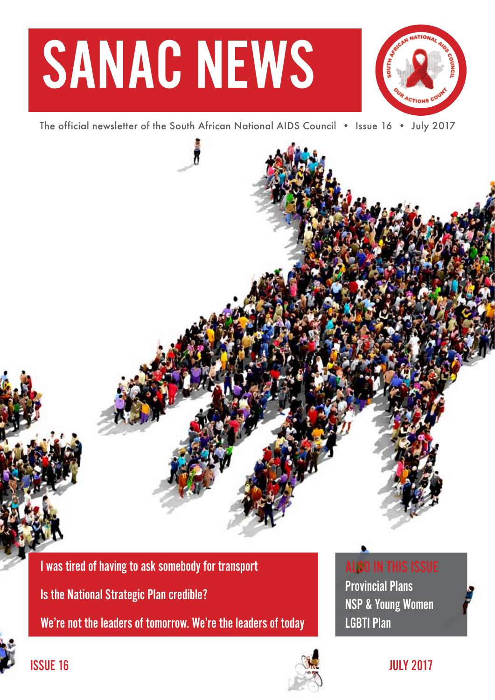# SANAC NEWS



The official newsletter of the South African National AIDS Council • Issue 16 • July 2017

I was tired of having to ask somebody for transport

Is the National Strategic Plan credible?

We're not the leaders of tomorrow. We're the leaders of today





## ALSO IN THIS ISSUE

Provincial Plans NSP & Young Women LGBTI Plan

ISSUE 16  $\sim$  JULY 2017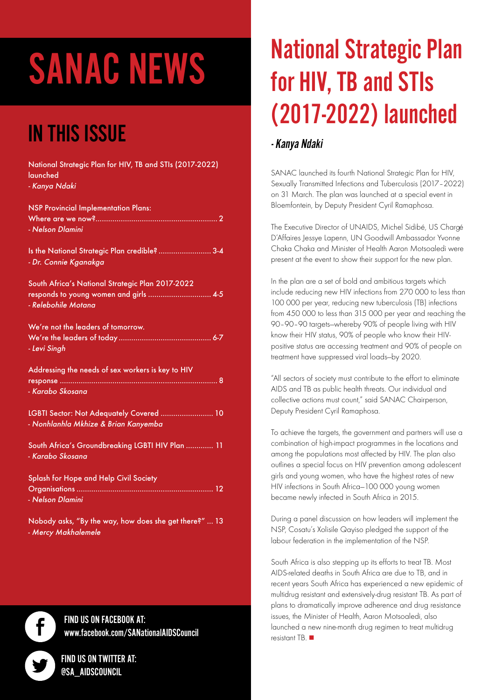# SANAC NEWS

## IN THIS ISSUE

| National Strategic Plan for HIV, TB and STIs (2017-2022)<br>launched<br>- Kanya Ndaki                             |
|-------------------------------------------------------------------------------------------------------------------|
| <b>NSP Provincial Implementation Plans:</b><br>- Nelson Dlamini                                                   |
| Is the National Strategic Plan credible?  3-4<br>- Dr. Connie Kganakga                                            |
| South Africa's National Strategic Plan 2017-2022<br>responds to young women and girls  4-5<br>- Relebohile Motana |
| We're not the leaders of tomorrow.<br>- Levi Singh                                                                |
| Addressing the needs of sex workers is key to HIV<br>- Karabo Skosana                                             |
| LGBTI Sector: Not Adequately Covered  10<br>- Nonhlanhla Mkhize & Brian Kanyemba                                  |
| South Africa's Groundbreaking LGBTI HIV Plan  11<br>- Karabo Skosana                                              |
| Splash for Hope and Help Civil Society<br>- Nelson Dlamini                                                        |
| Nobody asks, "By the way, how does she get there?"  13<br>- Mercy Makhalemele                                     |

## FIND US ON FACEBOOK AT: www.facebook.com/SANationalAIDSCouncil

FIND US ON TWITTER AT: @SA\_AIDSCOUNCIL

f

# National Strategic Plan for HIV, TB and STIs (2017-2022) launched

## - Kanya Ndaki

SANAC launched its fourth National Strategic Plan for HIV, Sexually Transmitted Infections and Tuberculosis (2017–2022) on 31 March. The plan was launched at a special event in Bloemfontein, by Deputy President Cyril Ramaphosa.

The Executive Director of UNAIDS, Michel Sidibé, US Chargé D'Affaires Jessye Lapenn, UN Goodwill Ambassador Yvonne Chaka Chaka and Minister of Health Aaron Motsoaledi were present at the event to show their support for the new plan.

In the plan are a set of bold and ambitious targets which include reducing new HIV infections from 270 000 to less than 100 000 per year, reducing new tuberculosis (TB) infections from 450 000 to less than 315 000 per year and reaching the 90–90–90 targets—whereby 90% of people living with HIV know their HIV status, 90% of people who know their HIVpositive status are accessing treatment and 90% of people on treatment have suppressed viral loads—by 2020.

"All sectors of society must contribute to the effort to eliminate AIDS and TB as public health threats. Our individual and collective actions must count," said SANAC Chairperson, Deputy President Cyril Ramaphosa.

To achieve the targets, the government and partners will use a combination of high-impact programmes in the locations and among the populations most affected by HIV. The plan also outlines a special focus on HIV prevention among adolescent girls and young women, who have the highest rates of new HIV infections in South Africa—100 000 young women became newly infected in South Africa in 2015.

During a panel discussion on how leaders will implement the NSP, Cosatu's Xolisile Qayiso pledged the support of the labour federation in the implementation of the NSP.

South Africa is also stepping up its efforts to treat TB. Most AIDS-related deaths in South Africa are due to TB, and in recent years South Africa has experienced a new epidemic of multidrug resistant and extensively-drug resistant TB. As part of plans to dramatically improve adherence and drug resistance issues, the Minister of Health, Aaron Motsoaledi, also launched a new nine-month drug regimen to treat multidrug resistant TB.  $\blacksquare$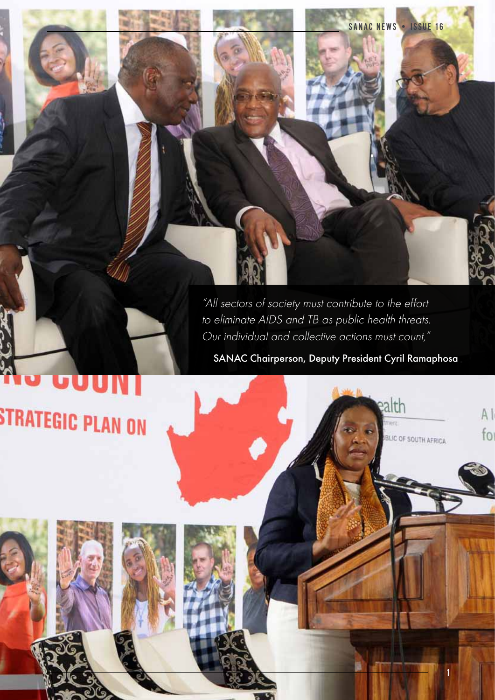"All sectors of society must contribute to the effort to eliminate AIDS and TB as public health threats. Our individual and collective actions must count,"

SANAC Chairperson, Deputy President Cyril Ramaphosa

ealth

BLIC OF SOUTH AFRICA

SANAC NEWS . ISSUE 16

1

 $A<sub>1</sub>$ 

 $fo$ 

# STRATEGIC PLAN ON

JUUN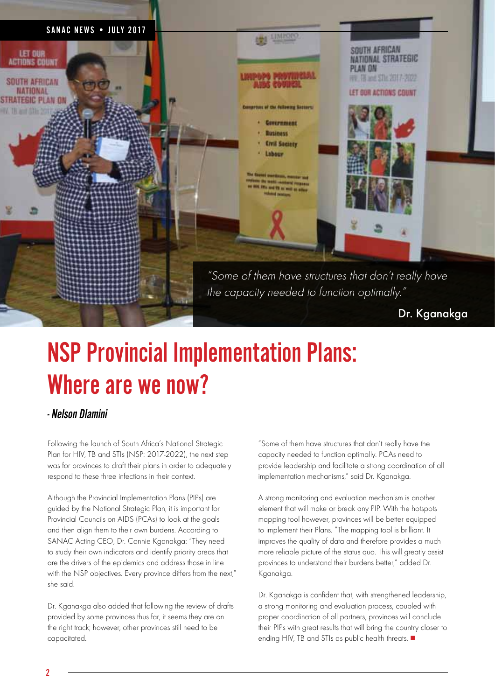

# NSP Provincial Implementation Plans: Where are we now?

## - Nelson Dlamini

Following the launch of South Africa's National Strategic Plan for HIV, TB and STIs (NSP: 2017-2022), the next step was for provinces to draft their plans in order to adequately respond to these three infections in their context.

Although the Provincial Implementation Plans (PIPs) are guided by the National Strategic Plan, it is important for Provincial Councils on AIDS (PCAs) to look at the goals and then align them to their own burdens. According to SANAC Acting CEO, Dr. Connie Kganakga: "They need to study their own indicators and identify priority areas that are the drivers of the epidemics and address those in line with the NSP objectives. Every province differs from the next," she said.

Dr. Kagnakag also added that following the review of drafts provided by some provinces thus far, it seems they are on the right track; however, other provinces still need to be capacitated.

"Some of them have structures that don't really have the capacity needed to function optimally. PCAs need to provide leadership and facilitate a strong coordination of all implementation mechanisms," said Dr. Kganakga.

A strong monitoring and evaluation mechanism is another element that will make or break any PIP. With the hotspots mapping tool however, provinces will be better equipped to implement their Plans. "The mapping tool is brilliant. It improves the quality of data and therefore provides a much more reliable picture of the status quo. This will greatly assist provinces to understand their burdens better," added Dr. Kganakga.

Dr. Kganakga is confident that, with strengthened leadership, a strong monitoring and evaluation process, coupled with proper coordination of all partners, provinces will conclude their PIPs with great results that will bring the country closer to ending HIV, TB and STIs as public health threats.  $\blacksquare$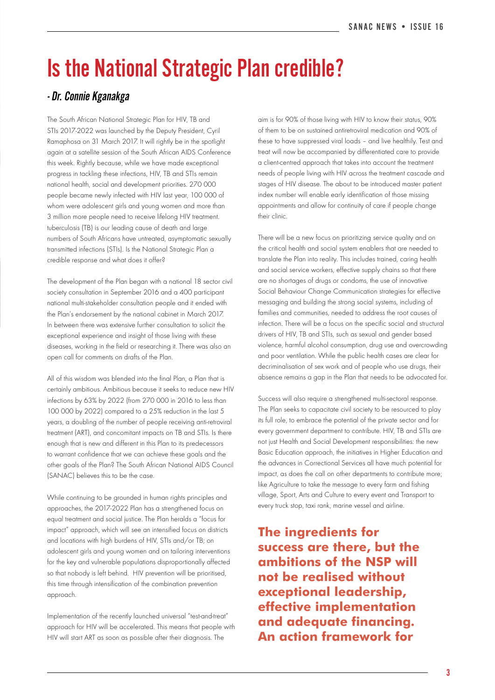## Is the National Strategic Plan credible?

## - Dr. Connie Kganakga

The South African National Strategic Plan for HIV, TB and STIs 2017-2022 was launched by the Deputy President, Cyril Ramaphosa on 31 March 2017. It will rightly be in the spotlight again at a satellite session of the South African AIDS Conference this week. Rightly because, while we have made exceptional progress in tackling these infections, HIV, TB and STIs remain national health, social and development priorities. 270 000 people became newly infected with HIV last year, 100 000 of whom were adolescent girls and young women and more than 3 million more people need to receive lifelong HIV treatment. tuberculosis (TB) is our leading cause of death and large numbers of South Africans have untreated, asymptomatic sexually transmitted infections (STIs). Is the National Strategic Plan a credible response and what does it offer?

The development of the Plan began with a national 18 sector civil society consultation in September 2016 and a 400 participant national multi-stakeholder consultation people and it ended with the Plan's endorsement by the national cabinet in March 2017. In between there was extensive further consultation to solicit the exceptional experience and insight of those living with these diseases, working in the field or researching it. There was also an open call for comments on drafts of the Plan.

All of this wisdom was blended into the final Plan, a Plan that is certainly ambitious. Ambitious because it seeks to reduce new HIV infections by 63% by 2022 (from 270 000 in 2016 to less than 100 000 by 2022) compared to a 25% reduction in the last 5 years, a doubling of the number of people receiving anti-retroviral treatment (ART), and concomitant impacts on TB and STIs. Is there enough that is new and different in this Plan to its predecessors to warrant confidence that we can achieve these goals and the other goals of the Plan? The South African National AIDS Council (SANAC) believes this to be the case.

While continuing to be grounded in human rights principles and approaches, the 2017-2022 Plan has a strengthened focus on equal treatment and social justice. The Plan heralds a "focus for impact" approach, which will see an intensified focus on districts and locations with high burdens of HIV, STIs and/or TB; on adolescent girls and young women and on tailoring interventions for the key and vulnerable populations disproportionally affected so that nobody is left behind. HIV prevention will be prioritised, this time through intensification of the combination prevention approach.

Implementation of the recently launched universal "test-and-treat" approach for HIV will be accelerated. This means that people with HIV will start ART as soon as possible after their diagnosis. The

aim is for 90% of those living with HIV to know their status, 90% of them to be on sustained antiretroviral medication and 90% of these to have suppressed viral loads – and live healthily. Test and treat will now be accompanied by differentiated care to provide a client-centred approach that takes into account the treatment needs of people living with HIV across the treatment cascade and stages of HIV disease. The about to be introduced master patient index number will enable early identification of those missing appointments and allow for continuity of care if people change their clinic.

There will be a new focus on prioritizing service quality and on the critical health and social system enablers that are needed to translate the Plan into reality. This includes trained, caring health and social service workers, effective supply chains so that there are no shortages of drugs or condoms, the use of innovative Social Behaviour Change Communication strategies for effective messaging and building the strong social systems, including of families and communities, needed to address the root causes of infection. There will be a focus on the specific social and structural drivers of HIV, TB and STIs, such as sexual and gender based violence, harmful alcohol consumption, drug use and overcrowding and poor ventilation. While the public health cases are clear for decriminalisation of sex work and of people who use drugs, their absence remains a gap in the Plan that needs to be advocated for.

Success will also require a strengthened multi-sectoral response. The Plan seeks to capacitate civil society to be resourced to play its full role, to embrace the potential of the private sector and for every government department to contribute. HIV, TB and STIs are not just Health and Social Development responsibilities: the new Basic Education approach, the initiatives in Higher Education and the advances in Correctional Services all have much potential for impact, as does the call on other departments to contribute more; like Agriculture to take the message to every farm and fishing village, Sport, Arts and Culture to every event and Transport to every truck stop, taxi rank, marine vessel and airline.

**The ingredients for success are there, but the ambitions of the NSP will not be realised without exceptional leadership, effective implementation and adequate financing. An action framework for**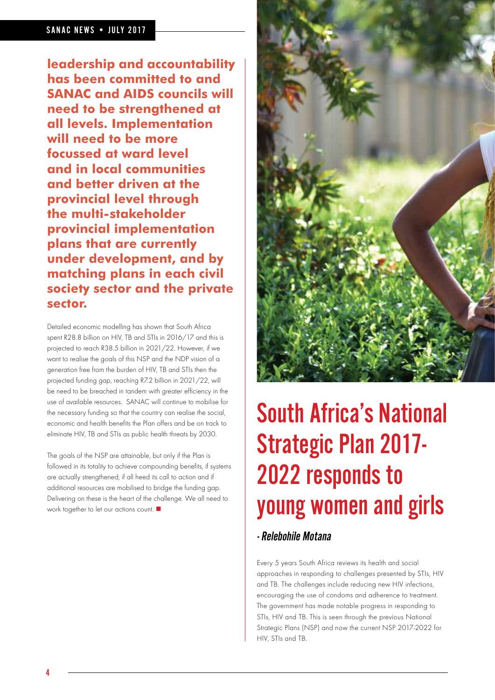### SANAC NEWS . JULY 2017

**leadership and accountability has been committed to and SANAC and AIDS councils will need to be strengthened at all levels. Implementation will need to be more focussed at ward level and in local communities and better driven at the provincial level through the multi-stakeholder provincial implementation plans that are currently under development, and by matching plans in each civil society sector and the private sector.** 

Detailed economic modelling has shown that South Africa spent R28.8 billion on HIV, TB and STIs in 2016/17 and this is projected to reach R38.5 billion in 2021/22. However, if we want to realise the goals of this NSP and the NDP vision of a generation free from the burden of HIV, TB and STIs then the projected funding gap, reaching R7.2 billion in 2021/22, will be need to be breached in tandem with greater efficiency in the use of available resources. SANAC will continue to mobilise for the necessary funding so that the country can realise the social, economic and health benefits the Plan offers and be on track to eliminate HIV, TB and STIs as public health threats by 2030.

The goals of the NSP are attainable, but only if the Plan is followed in its totality to achieve compounding benefits, if systems are actually strengthened, if all heed its call to action and if additional resources are mobilised to bridge the funding gap. Delivering on these is the heart of the challenge. We all need to work together to let our actions count.  $\blacksquare$ 



# South Africa's National Strategic Plan 2017- 2022 responds to young women and girls

## - Relebohile Motana

Every 5 years South Africa reviews its health and social approaches in responding to challenges presented by STIs, HIV and TB. The challenges include reducing new HIV infections, encouraging the use of condoms and adherence to treatment. The government has made notable progress in responding to STIs, HIV and TB. This is seen through the previous National Strategic Plans (NSP) and now the current NSP 2017-2022 for HIV, STIs and TB.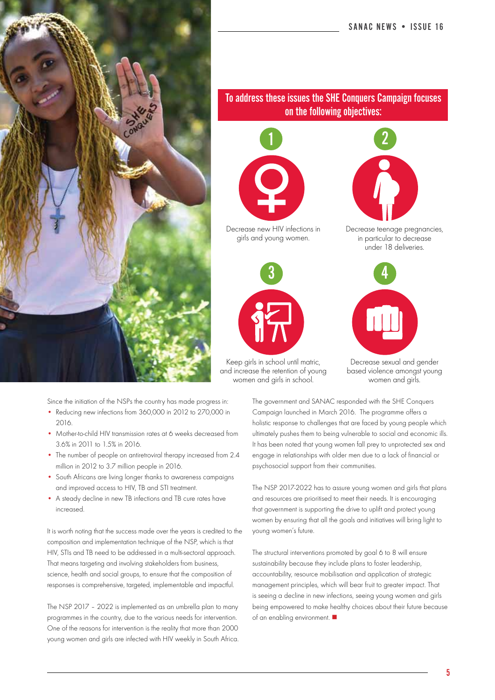



Keep girls in school until matric, and increase the retention of young women and girls in school.

## To address these issues the SHE Conquers Campaign focuses on the following objectives:



Decrease new HIV infections in girls and young women.



Decrease teenage pregnancies, in particular to decrease under 18 deliveries.



Decrease sexual and gender based violence amongst young women and girls.

The government and SANAC responded with the SHE Conquers Campaign launched in March 2016. The programme offers a holistic response to challenges that are faced by young people which ultimately pushes them to being vulnerable to social and economic ills. It has been noted that young women fall prey to unprotected sex and engage in relationships with older men due to a lack of financial or psychosocial support from their communities.

The NSP 2017-2022 has to assure young women and girls that plans and resources are prioritised to meet their needs. It is encouraging that government is supporting the drive to uplift and protect young women by ensuring that all the goals and initiatives will bring light to young women's future.

The structural interventions promoted by goal 6 to 8 will ensure sustainability because they include plans to foster leadership, accountability, resource mobilisation and application of strategic management principles, which will bear fruit to greater impact. That is seeing a decline in new infections, seeing young women and girls being empowered to make healthy choices about their future because of an enabling environment.  $\blacksquare$ 

Since the initiation of the NSPs the country has made progress in:

- Reducing new infections from 360,000 in 2012 to 270,000 in 2016.
- Mother-to-child HIV transmission rates at 6 weeks decreased from 3.6% in 2011 to 1.5% in 2016.
- The number of people on antiretroviral therapy increased from 2.4 million in 2012 to 3.7 million people in 2016.
- South Africans are living longer thanks to awareness campaigns and improved access to HIV, TB and STI treatment.
- A steady decline in new TB infections and TB cure rates have increased.

It is worth noting that the success made over the years is credited to the composition and implementation technique of the NSP, which is that HIV, STIs and TB need to be addressed in a multi-sectoral approach. That means targeting and involving stakeholders from business, science, health and social groups, to ensure that the composition of responses is comprehensive, targeted, implementable and impactful.

The NSP 2017 – 2022 is implemented as an umbrella plan to many programmes in the country, due to the various needs for intervention. One of the reasons for intervention is the reality that more than 2000 young women and girls are infected with HIV weekly in South Africa.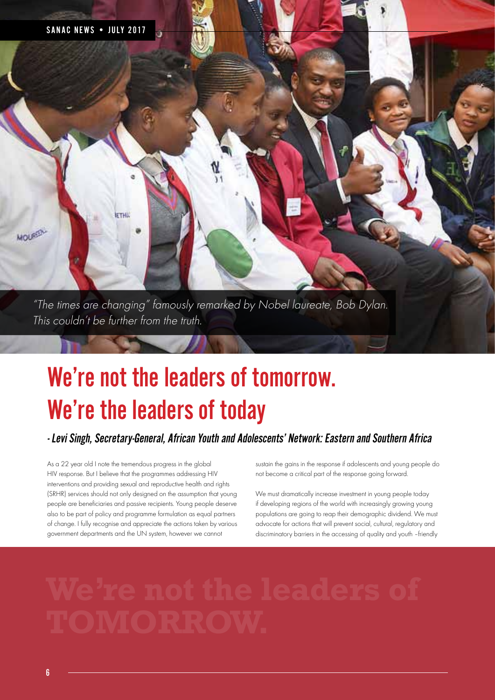

# We're not the leaders of tomorrow. We're the leaders of today

## - Levi Singh, Secretary-General, African Youth and Adolescents' Network: Eastern and Southern Africa

As a 22 year old I note the tremendous progress in the global HIV response. But I believe that the programmes addressing HIV interventions and providing sexual and reproductive health and rights (SRHR) services should not only designed on the assumption that young people are beneficiaries and passive recipients. Young people deserve also to be part of policy and programme formulation as equal partners of change. I fully recognise and appreciate the actions taken by various government departments and the UN system, however we cannot

sustain the gains in the response if adolescents and young people do not become a critical part of the response going forward.

We must dramatically increase investment in young people today if developing regions of the world with increasingly growing young populations are going to reap their demographic dividend. We must advocate for actions that will prevent social, cultural, regulatory and discriminatory barriers in the accessing of quality and youth –friendly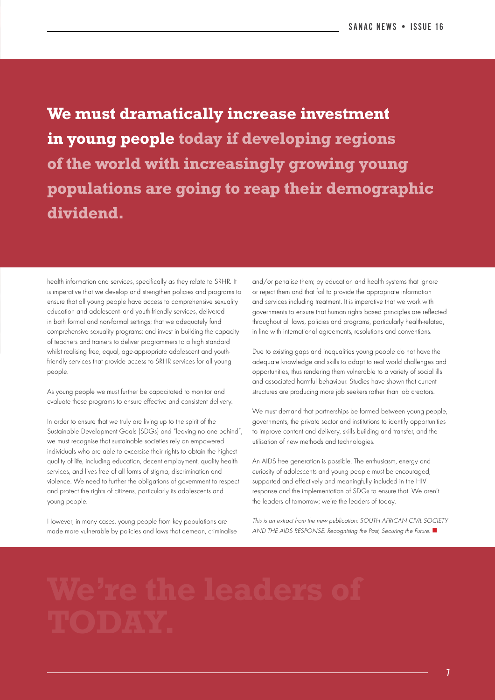**We must dramatically increase investment in young people today if developing regions of the world with increasingly growing young populations are going to reap their demographic dividend.**

health information and services, specifically as they relate to SRHR. It is imperative that we develop and strengthen policies and programs to ensure that all young people have access to comprehensive sexuality education and adolescent- and youth-friendly services, delivered in both formal and non-formal settings; that we adequately fund comprehensive sexuality programs; and invest in building the capacity of teachers and trainers to deliver programmers to a high standard whilst realising free, equal, age-appropriate adolescent and youthfriendly services that provide access to SRHR services for all young people.

As young people we must further be capacitated to monitor and evaluate these programs to ensure effective and consistent delivery.

In order to ensure that we truly are living up to the spirit of the Sustainable Development Goals (SDGs) and "leaving no one behind", we must recognise that sustainable societies rely on empowered individuals who are able to excersise their rights to obtain the highest quality of life, including education, decent employment, quality health services, and lives free of all forms of stigma, discrimination and violence. We need to further the obligations of government to respect and protect the rights of citizens, particularly its adolescents and young people.

However, in many cases, young people from key populations are made more vulnerable by policies and laws that demean, criminalise and/or penalise them; by education and health systems that ignore or reject them and that fail to provide the appropriate information and services including treatment. It is imperative that we work with governments to ensure that human rights based principles are reflected throughout all laws, policies and programs, particularly health-related, in line with international agreements, resolutions and conventions.

Due to existing gaps and inequalities young people do not have the adequate knowledge and skills to adapt to real world challenges and opportunities, thus rendering them vulnerable to a variety of social ills and associated harmful behaviour. Studies have shown that current structures are producing more job seekers rather than job creators.

We must demand that partnerships be formed between young people, governments, the private sector and institutions to identify opportunities to improve content and delivery, skills building and transfer, and the utilisation of new methods and technologies.

An AIDS free generation is possible. The enthusiasm, energy and curiosity of adolescents and young people must be encouraged, supported and effectively and meaningfully included in the HIV response and the implementation of SDGs to ensure that. We aren't the leaders of tomorrow; we're the leaders of today.

This is an extract from the new publication: SOUTH AFRICAN CIVIL SOCIETY AND THE AIDS RESPONSE: Recognising the Past, Securing the Future.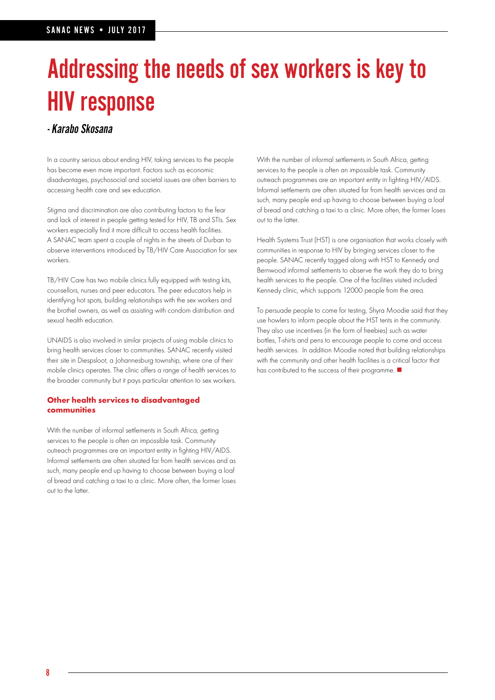# Addressing the needs of sex workers is key to HIV response

## - Karabo Skosana

In a country serious about ending HIV, taking services to the people has become even more important. Factors such as economic disadvantages, psychosocial and societal issues are often barriers to accessing health care and sex education.

Stigma and discrimination are also contributing factors to the fear and lack of interest in people getting tested for HIV, TB and STIs. Sex workers especially find it more difficult to access health facilities. A SANAC team spent a couple of nights in the streets of Durban to observe interventions introduced by TB/HIV Care Association for sex workers.

TB/HIV Care has two mobile clinics fully equipped with testing kits, counsellors, nurses and peer educators. The peer educators help in identifying hot spots, building relationships with the sex workers and the brothel owners, as well as assisting with condom distribution and sexual health education.

UNAIDS is also involved in similar projects of using mobile clinics to bring health services closer to communities. SANAC recently visited their site in Diespsloot, a Johannesburg township, where one of their mobile clinics operates. The clinic offers a range of health services to the broader community but it pays particular attention to sex workers.

### **Other health services to disadvantaged communities**

With the number of informal settlements in South Africa, getting services to the people is often an impossible task. Community outreach programmes are an important entity in fighting HIV/AIDS. Informal settlements are often situated far from health services and as such, many people end up having to choose between buying a loaf of bread and catching a taxi to a clinic. More often, the former loses out to the latter.

With the number of informal settlements in South Africa, getting services to the people is often an impossible task. Community outreach programmes are an important entity in fighting HIV/AIDS. Informal settlements are often situated far from health services and as such, many people end up having to choose between buying a loaf of bread and catching a taxi to a clinic. More often, the former loses out to the latter.

Health Systems Trust (HST) is one organisation that works closely with communities in response to HIV by bringing services closer to the people. SANAC recently tagged along with HST to Kennedy and Bernwood informal settlements to observe the work they do to bring health services to the people. One of the facilities visited included Kennedy clinic, which supports 12000 people from the area.

To persuade people to come for testing, Shyra Moodie said that they use howlers to inform people about the HST tents in the community. They also use incentives (in the form of freebies) such as water bottles, T-shirts and pens to encourage people to come and access health services. In addition Moodie noted that building relationships with the community and other health facilities is a critical factor that has contributed to the success of their programme.  $\blacksquare$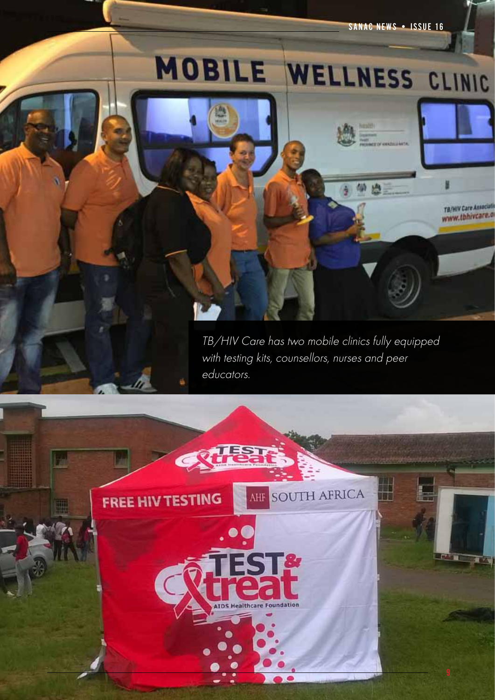SANAC NEWS • ISSUE 16

A.

TB/HIV Care Associati www.tbhivcare.o

# MOBILE WELLNESS CLINIC

TB/HIV Care has two mobile clinics fully equipped with testing kits, counsellors, nurses and peer educators.

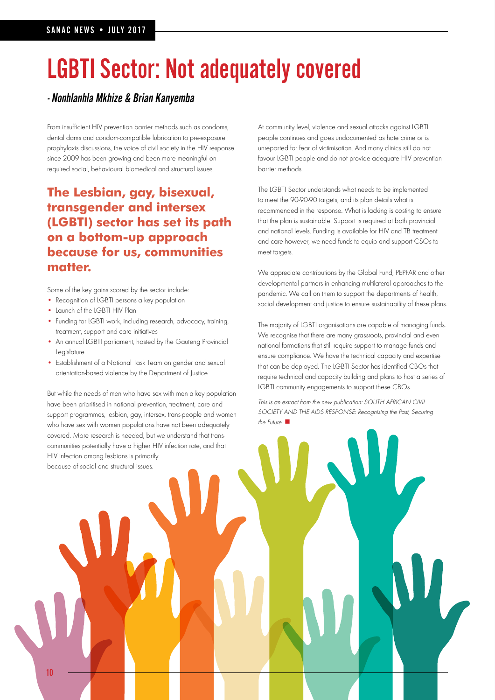# LGBTI Sector: Not adequately covered

## - Nonhlanhla Mkhize & Brian Kanyemba

From insufficient HIV prevention barrier methods such as condoms, dental dams and condom-compatible lubrication to pre-exposure prophylaxis discussions, the voice of civil society in the HIV response since 2009 has been growing and been more meaningful on required social, behavioural biomedical and structural issues.

## **The Lesbian, gay, bisexual, transgender and intersex (LGBTI) sector has set its path on a bottom-up approach because for us, communities matter.**

Some of the key gains scored by the sector include:

- Recognition of LGBTI persons a key population
- Launch of the LGBTI HIV Plan
- Funding for LGBTI work, including research, advocacy, training, treatment, support and care initiatives
- An annual LGBTI parliament, hosted by the Gauteng Provincial Legislature
- Establishment of a National Task Team on gender and sexual orientation-based violence by the Department of Justice

But while the needs of men who have sex with men a key population have been prioritised in national prevention, treatment, care and support programmes, lesbian, gay, intersex, trans-people and women who have sex with women populations have not been adequately covered. More research is needed, but we understand that transcommunities potentially have a higher HIV infection rate, and that HIV infection among lesbians is primarily because of social and structural issues.

At community level, violence and sexual attacks against LGBTI people continues and goes undocumented as hate crime or is unreported for fear of victimisation. And many clinics still do not favour LGBTI people and do not provide adequate HIV prevention barrier methods.

The LGBTI Sector understands what needs to be implemented to meet the 90-90-90 targets, and its plan details what is recommended in the response. What is lacking is costing to ensure that the plan is sustainable. Support is required at both provincial and national levels. Funding is available for HIV and TB treatment and care however, we need funds to equip and support CSOs to meet targets.

We appreciate contributions by the Global Fund, PEPFAR and other developmental partners in enhancing multilateral approaches to the pandemic. We call on them to support the departments of health, social development and justice to ensure sustainability of these plans.

The majority of LGBTI organisations are capable of managing funds. We recognise that there are many grassroots, provincial and even national formations that still require support to manage funds and ensure compliance. We have the technical capacity and expertise that can be deployed. The LGBTI Sector has identified CBOs that require technical and capacity building and plans to host a series of LGBTI community engagements to support these CBOs.

This is an extract from the new publication: SOUTH AFRICAN CIVIL SOCIETY AND THE AIDS RESPONSE: Recognising the Past, Securing the Future.  $\blacksquare$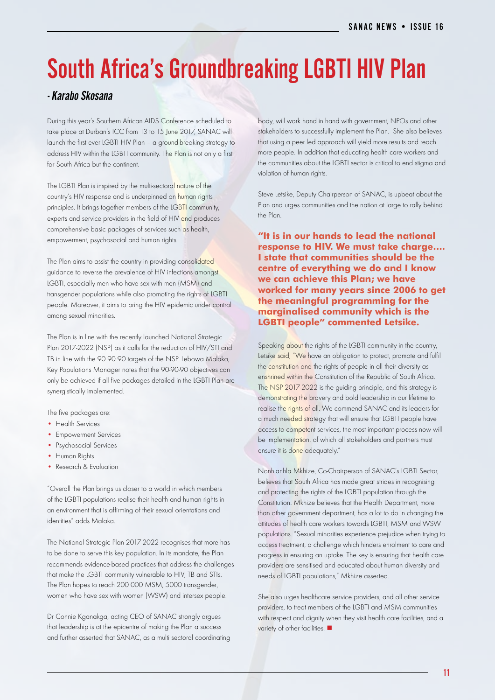# South Africa's Groundbreaking LGBTI HIV Plan

## - Karabo Skosana

During this year's Southern African AIDS Conference scheduled to take place at Durban's ICC from 13 to 15 June 2017, SANAC will launch the first ever LGBTI HIV Plan – a ground-breaking strategy to address HIV within the LGBTI community. The Plan is not only a first for South Africa but the continent.

The LGBTI Plan is inspired by the multi-sectoral nature of the country's HIV response and is underpinned on human rights principles. It brings together members of the LGBTI community, experts and service providers in the field of HIV and produces comprehensive basic packages of services such as health, empowerment, psychosocial and human rights.

The Plan aims to assist the country in providing consolidated guidance to reverse the prevalence of HIV infections amongst LGBTI, especially men who have sex with men (MSM) and transgender populations while also promoting the rights of LGBTI people. Moreover, it aims to bring the HIV epidemic under control among sexual minorities.

The Plan is in line with the recently launched National Strategic Plan 2017-2022 (NSP) as it calls for the reduction of HIV/STI and TB in line with the 90 90 90 targets of the NSP. Lebowa Malaka, Key Populations Manager notes that the 90-90-90 objectives can only be achieved if all five packages detailed in the LGBTI Plan are synergistically implemented.

The five packages are:

- Health Services
- Empowerment Services
- Psychosocial Services
- Human Rights
- Research & Evaluation

"Overall the Plan brings us closer to a world in which members of the LGBTI populations realise their health and human rights in an environment that is affirming of their sexual orientations and identities" adds Malaka.

The National Strategic Plan 2017-2022 recognises that more has to be done to serve this key population. In its mandate, the Plan recommends evidence-based practices that address the challenges that make the LGBTI community vulnerable to HIV, TB and STIs. The Plan hopes to reach 200 000 MSM, 5000 transgender, women who have sex with women (WSW) and intersex people.

Dr Connie Kganakga, acting CEO of SANAC strongly argues that leadership is at the epicentre of making the Plan a success and further asserted that SANAC, as a multi sectoral coordinating body, will work hand in hand with government, NPOs and other stakeholders to successfully implement the Plan. She also believes that using a peer led approach will yield more results and reach more people. In addition that educating health care workers and the communities about the LGBTI sector is critical to end stigma and violation of human rights.

Steve Letsike, Deputy Chairperson of SANAC, is upbeat about the Plan and urges communities and the nation at large to rally behind the Plan.

**"It is in our hands to lead the national response to HIV. We must take charge…. I state that communities should be the centre of everything we do and I know we can achieve this Plan; we have worked for many years since 2006 to get the meaningful programming for the marginalised community which is the LGBTI people" commented Letsike.**

Speaking about the rights of the LGBTI community in the country, Letsike said, "We have an obligation to protect, promote and fulfil the constitution and the rights of people in all their diversity as enshrined within the Constitution of the Republic of South Africa. The NSP 2017-2022 is the guiding principle, and this strategy is demonstrating the bravery and bold leadership in our lifetime to realise the rights of all. We commend SANAC and its leaders for a much needed strategy that will ensure that LGBTI people have access to competent services, the most important process now will be implementation, of which all stakeholders and partners must ensure it is done adequately."

Nonhlanhla Mkhize, Co-Chairperson of SANAC's LGBTI Sector, believes that South Africa has made great strides in recognising and protecting the rights of the LGBTI population through the Constitution. Mkhize believes that the Health Department, more than other government department, has a lot to do in changing the attitudes of health care workers towards LGBTI, MSM and WSW populations. "Sexual minorities experience prejudice when trying to access treatment, a challenge which hinders enrolment to care and progress in ensuring an uptake. The key is ensuring that health care providers are sensitised and educated about human diversity and needs of LGBTI populations," Mkhize asserted.

She also urges healthcare service providers, and all other service providers, to treat members of the LGBTI and MSM communities with respect and dignity when they visit health care facilities, and a variety of other facilities.  $\blacksquare$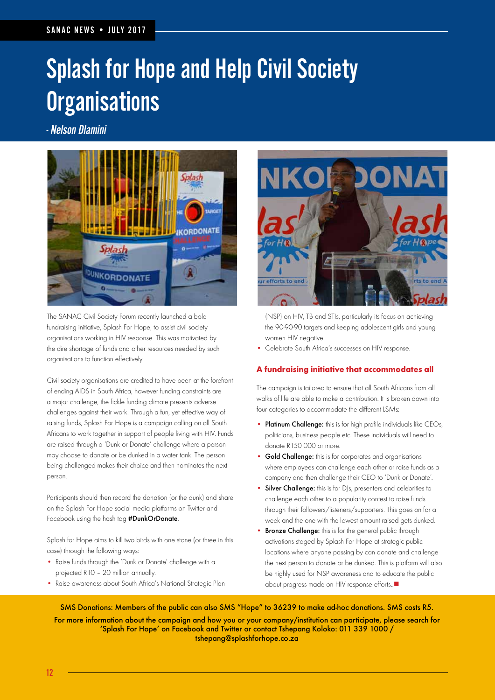# Splash for Hope and Help Civil Society **Organisations**

- Nelson Dlamini



The SANAC Civil Society Forum recently launched a bold fundraising initiative, Splash For Hope, to assist civil society organisations working in HIV response. This was motivated by the dire shortage of funds and other resources needed by such organisations to function effectively.

Civil society organisations are credited to have been at the forefront of ending AIDS in South Africa, however funding constraints are a major challenge, the fickle funding climate presents adverse challenges against their work. Through a fun, yet effective way of raising funds, Splash For Hope is a campaign calling on all South Africans to work together in support of people living with HIV. Funds are raised through a 'Dunk or Donate' challenge where a person may choose to donate or be dunked in a water tank. The person being challenged makes their choice and then nominates the next person.

Participants should then record the donation (or the dunk) and share on the Splash For Hope social media platforms on Twitter and Facebook using the hash tag #DunkOrDonate

Splash for Hope aims to kill two birds with one stone (or three in this case) through the following ways:

- Raise funds through the 'Dunk or Donate' challenge with a projected R10 – 20 million annually.
- Raise awareness about South Africa's National Strategic Plan



(NSP) on HIV, TB and STIs, particularly its focus on achieving the 90-90-90 targets and keeping adolescent girls and young women HIV negative.

• Celebrate South Africa's successes on HIV response.

### **A fundraising initiative that accommodates all**

The campaign is tailored to ensure that all South Africans from all walks of life are able to make a contribution. It is broken down into four categories to accommodate the different LSMs:

- Platinum Challenge: this is for high profile individuals like CEOs, politicians, business people etc. These individuals will need to donate R150 000 or more.
- Gold Challenge: this is for corporates and organisations where employees can challenge each other or raise funds as a company and then challenge their CEO to 'Dunk or Donate'.
- Silver Challenge: this is for DJs, presenters and celebrities to challenge each other to a popularity contest to raise funds through their followers/listeners/supporters. This goes on for a week and the one with the lowest amount raised gets dunked.
- **Bronze Challenge:** this is for the general public through activations staged by Splash For Hope at strategic public locations where anyone passing by can donate and challenge the next person to donate or be dunked. This is platform will also be highly used for NSP awareness and to educate the public about progress made on HIV response efforts..<sup>1</sup>

SMS Donations: Members of the public can also SMS "Hope" to 36239 to make ad-hoc donations. SMS costs R5.

For more information about the campaign and how you or your company/institution can participate, please search for 'Splash For Hope' on Facebook and Twitter or contact Tshepang Koloko: 011 339 1000 / tshepang@splashforhope.co.za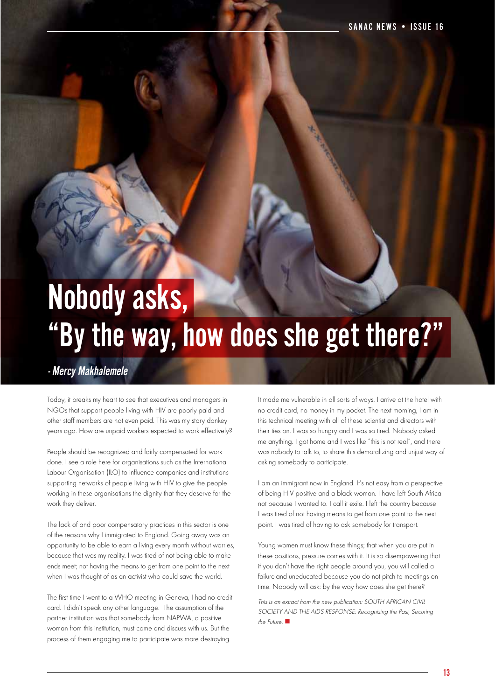# Nobody asks, "By the way, how does she get there?"

## - Mercy Makhalemele

Today, it breaks my heart to see that executives and managers in NGOs that support people living with HIV are poorly paid and other staff members are not even paid. This was my story donkey years ago. How are unpaid workers expected to work effectively?

People should be recognized and fairly compensated for work done. I see a role here for organisations such as the International Labour Organisation (ILO) to influence companies and institutions supporting networks of people living with HIV to give the people working in these organisations the dignity that they deserve for the work they deliver.

The lack of and poor compensatory practices in this sector is one of the reasons why I immigrated to England. Going away was an opportunity to be able to earn a living every month without worries, because that was my reality. I was tired of not being able to make ends meet; not having the means to get from one point to the next when I was thought of as an activist who could save the world.

The first time I went to a WHO meeting in Geneva, I had no credit card. I didn't speak any other language. The assumption of the partner institution was that somebody from NAPWA, a positive woman from this institution, must come and discuss with us. But the process of them engaging me to participate was more destroying.

It made me vulnerable in all sorts of ways. I arrive at the hotel with no credit card, no money in my pocket. The next morning, I am in this technical meeting with all of these scientist and directors with their ties on. I was so hungry and I was so tired. Nobody asked me anything. I got home and I was like "this is not real", and there was nobody to talk to, to share this demoralizing and unjust way of asking somebody to participate.

I am an immigrant now in England. It's not easy from a perspective of being HIV positive and a black woman. I have left South Africa not because I wanted to. I call it exile. I left the country because I was tired of not having means to get from one point to the next point. I was tired of having to ask somebody for transport.

Young women must know these things; that when you are put in these positions, pressure comes with it. It is so disempowering that if you don't have the right people around you, you will called a failure-and uneducated because you do not pitch to meetings on time. Nobody will ask: by the way how does she get there?

This is an extract from the new publication: SOUTH AFRICAN CIVIL SOCIETY AND THE AIDS RESPONSE: Recognising the Past, Securing the Future.  $\blacksquare$